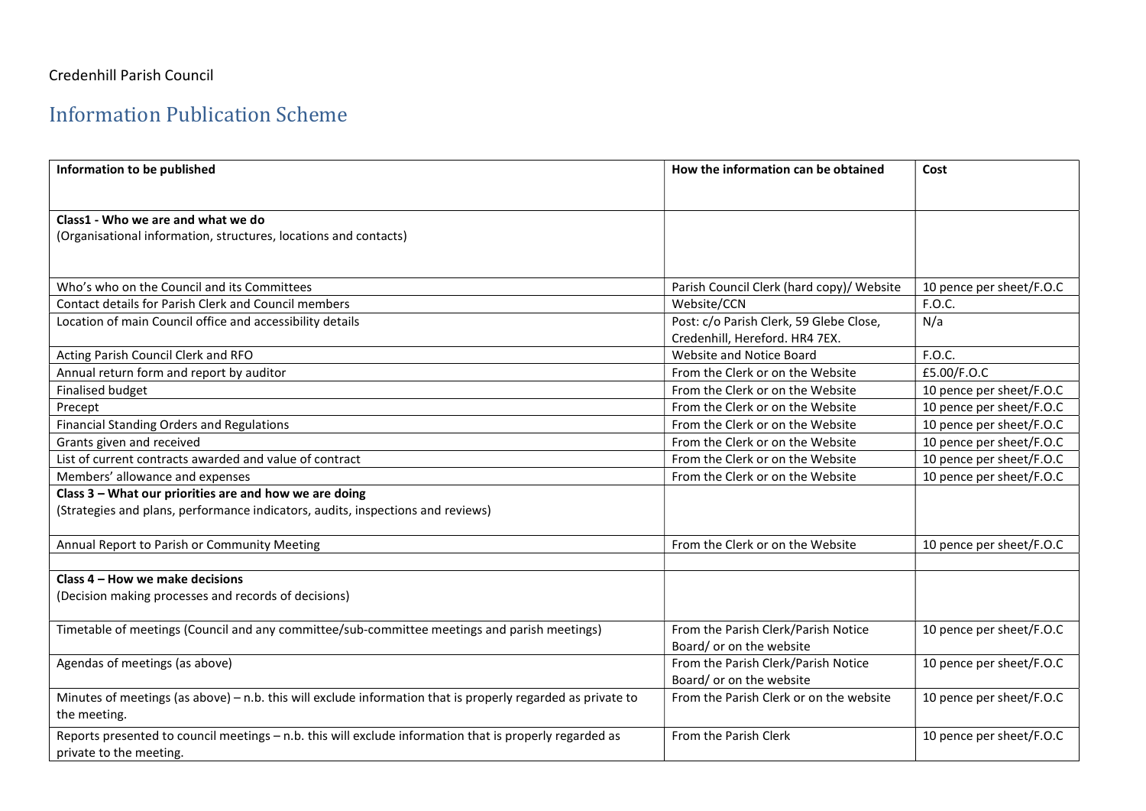## Credenhill Parish Council

## Information Publication Scheme

| Information to be published                                                                                 | How the information can be obtained       | Cost                     |
|-------------------------------------------------------------------------------------------------------------|-------------------------------------------|--------------------------|
|                                                                                                             |                                           |                          |
| Class1 - Who we are and what we do                                                                          |                                           |                          |
| (Organisational information, structures, locations and contacts)                                            |                                           |                          |
|                                                                                                             |                                           |                          |
| Who's who on the Council and its Committees                                                                 | Parish Council Clerk (hard copy)/ Website | 10 pence per sheet/F.O.C |
| Contact details for Parish Clerk and Council members                                                        | Website/CCN                               | F.O.C.                   |
| Location of main Council office and accessibility details                                                   | Post: c/o Parish Clerk, 59 Glebe Close,   | N/a                      |
|                                                                                                             | Credenhill, Hereford. HR4 7EX.            |                          |
| Acting Parish Council Clerk and RFO                                                                         | <b>Website and Notice Board</b>           | F.O.C.                   |
| Annual return form and report by auditor                                                                    | From the Clerk or on the Website          | £5.00/F.O.C              |
| <b>Finalised budget</b>                                                                                     | From the Clerk or on the Website          | 10 pence per sheet/F.O.C |
| Precept                                                                                                     | From the Clerk or on the Website          | 10 pence per sheet/F.O.C |
| <b>Financial Standing Orders and Regulations</b>                                                            | From the Clerk or on the Website          | 10 pence per sheet/F.O.C |
| Grants given and received                                                                                   | From the Clerk or on the Website          | 10 pence per sheet/F.O.C |
| List of current contracts awarded and value of contract                                                     | From the Clerk or on the Website          | 10 pence per sheet/F.O.C |
| Members' allowance and expenses                                                                             | From the Clerk or on the Website          | 10 pence per sheet/F.O.C |
| Class 3 - What our priorities are and how we are doing                                                      |                                           |                          |
| (Strategies and plans, performance indicators, audits, inspections and reviews)                             |                                           |                          |
| Annual Report to Parish or Community Meeting                                                                | From the Clerk or on the Website          | 10 pence per sheet/F.O.C |
|                                                                                                             |                                           |                          |
| Class 4 - How we make decisions                                                                             |                                           |                          |
| (Decision making processes and records of decisions)                                                        |                                           |                          |
| Timetable of meetings (Council and any committee/sub-committee meetings and parish meetings)                | From the Parish Clerk/Parish Notice       | 10 pence per sheet/F.O.C |
|                                                                                                             | Board/ or on the website                  |                          |
| Agendas of meetings (as above)                                                                              | From the Parish Clerk/Parish Notice       | 10 pence per sheet/F.O.C |
|                                                                                                             | Board/ or on the website                  |                          |
| Minutes of meetings (as above) - n.b. this will exclude information that is properly regarded as private to | From the Parish Clerk or on the website   | 10 pence per sheet/F.O.C |
| the meeting.                                                                                                |                                           |                          |
| Reports presented to council meetings - n.b. this will exclude information that is properly regarded as     | From the Parish Clerk                     | 10 pence per sheet/F.O.C |
| private to the meeting.                                                                                     |                                           |                          |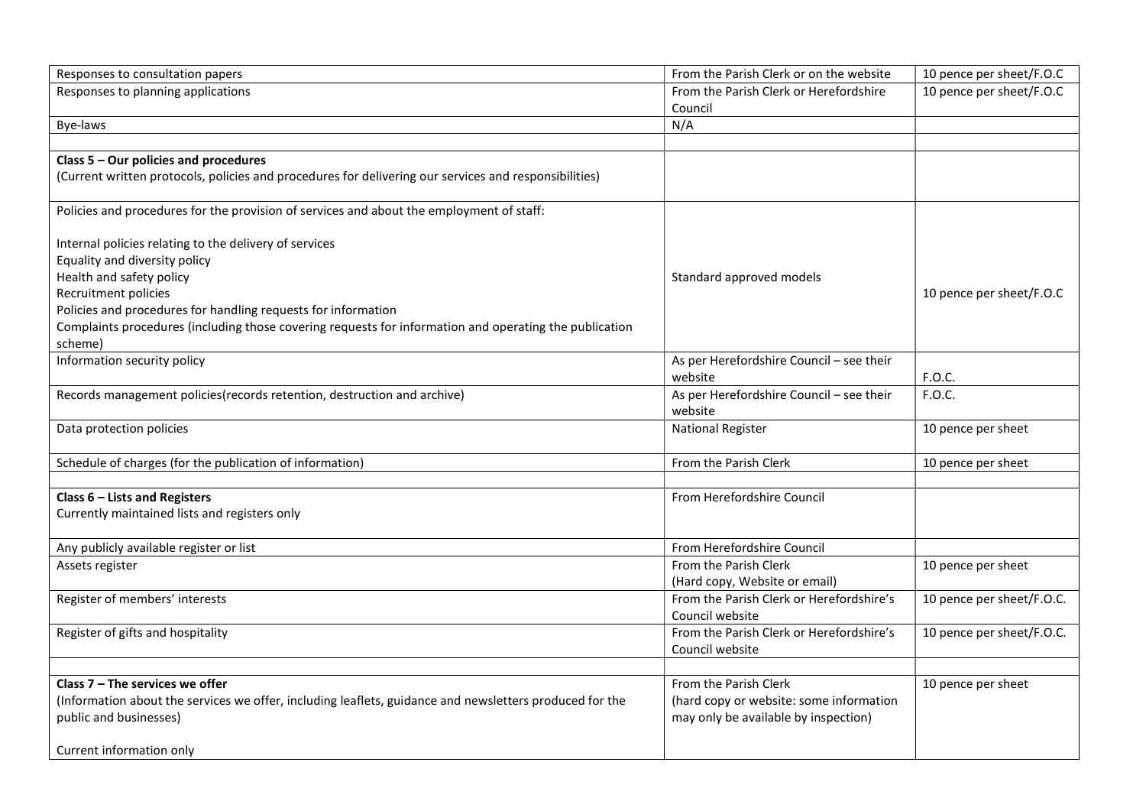| Responses to consultation papers                                                                        | From the Parish Clerk or on the website                     | 10 pence per sheet/F.O.C  |
|---------------------------------------------------------------------------------------------------------|-------------------------------------------------------------|---------------------------|
| Responses to planning applications                                                                      | From the Parish Clerk or Herefordshire<br>Council           | 10 pence per sheet/F.O.C  |
| Bye-laws                                                                                                | N/A                                                         |                           |
|                                                                                                         |                                                             |                           |
| Class 5 - Our policies and procedures                                                                   |                                                             |                           |
| (Current written protocols, policies and procedures for delivering our services and responsibilities)   |                                                             |                           |
| Policies and procedures for the provision of services and about the employment of staff:                |                                                             |                           |
| Internal policies relating to the delivery of services                                                  |                                                             |                           |
| Equality and diversity policy                                                                           |                                                             |                           |
| Health and safety policy                                                                                | Standard approved models                                    |                           |
| Recruitment policies                                                                                    |                                                             | 10 pence per sheet/F.O.C  |
| Policies and procedures for handling requests for information                                           |                                                             |                           |
| Complaints procedures (including those covering requests for information and operating the publication  |                                                             |                           |
| scheme)                                                                                                 |                                                             |                           |
| Information security policy                                                                             | As per Herefordshire Council - see their<br>website         | F.O.C.                    |
| Records management policies (records retention, destruction and archive)                                | As per Herefordshire Council - see their<br>website         | F.O.C.                    |
| Data protection policies                                                                                | <b>National Register</b>                                    | 10 pence per sheet        |
| Schedule of charges (for the publication of information)                                                | From the Parish Clerk                                       | 10 pence per sheet        |
| Class $6$ – Lists and Registers                                                                         | From Herefordshire Council                                  |                           |
| Currently maintained lists and registers only                                                           |                                                             |                           |
|                                                                                                         |                                                             |                           |
| Any publicly available register or list                                                                 | From Herefordshire Council                                  |                           |
| Assets register                                                                                         | From the Parish Clerk<br>(Hard copy, Website or email)      | 10 pence per sheet        |
| Register of members' interests                                                                          | From the Parish Clerk or Herefordshire's<br>Council website | 10 pence per sheet/F.O.C. |
| Register of gifts and hospitality                                                                       | From the Parish Clerk or Herefordshire's<br>Council website | 10 pence per sheet/F.O.C. |
|                                                                                                         |                                                             |                           |
| Class $7$ – The services we offer                                                                       | From the Parish Clerk                                       | 10 pence per sheet        |
| (Information about the services we offer, including leaflets, guidance and newsletters produced for the | (hard copy or website: some information                     |                           |
| public and businesses)                                                                                  | may only be available by inspection)                        |                           |
| Current information only                                                                                |                                                             |                           |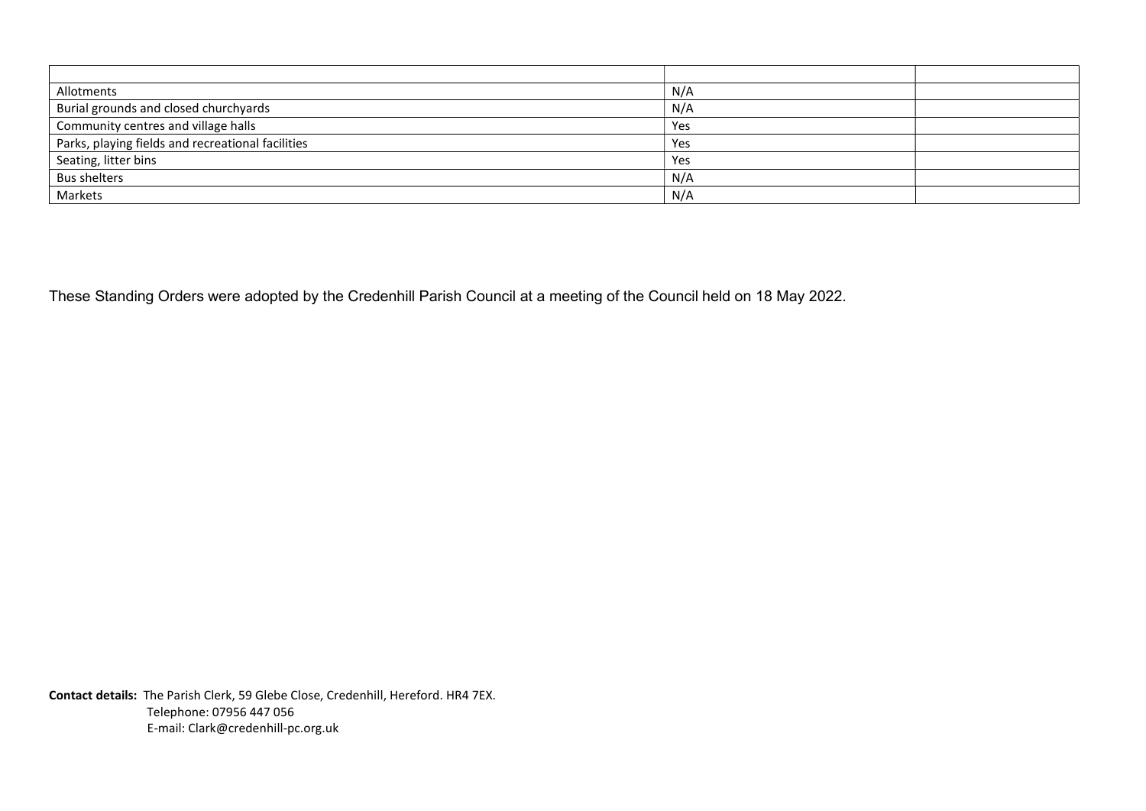| Allotments                                        | N/A |  |
|---------------------------------------------------|-----|--|
| Burial grounds and closed churchyards             | N/A |  |
| Community centres and village halls               | Yes |  |
| Parks, playing fields and recreational facilities | Yes |  |
| Seating, litter bins                              | Yes |  |
| <b>Bus shelters</b>                               | N/A |  |
| Markets                                           | N/A |  |

These Standing Orders were adopted by the Credenhill Parish Council at a meeting of the Council held on 18 May 2022.

Contact details: The Parish Clerk, 59 Glebe Close, Credenhill, Hereford. HR4 7EX. Telephone: 07956 447 056 E-mail: Clark@credenhill-pc.org.uk